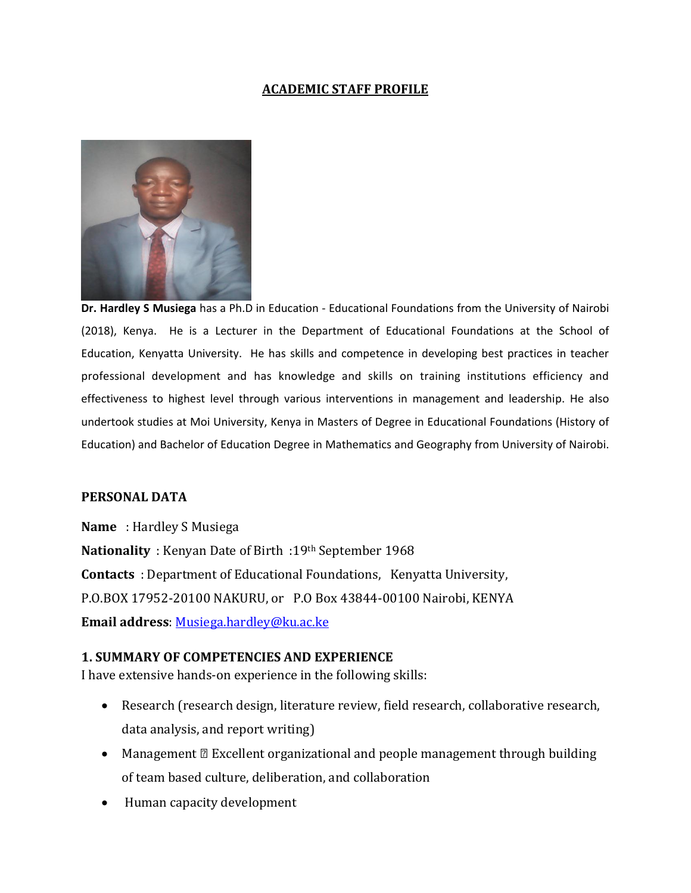#### **ACADEMIC STAFF PROFILE**



**Dr. Hardley S Musiega** has a Ph.D in Education - Educational Foundations from the University of Nairobi (2018), Kenya. He is a Lecturer in the Department of Educational Foundations at the School of Education, Kenyatta University. He has skills and competence in developing best practices in teacher professional development and has knowledge and skills on training institutions efficiency and effectiveness to highest level through various interventions in management and leadership. He also undertook studies at Moi University, Kenya in Masters of Degree in Educational Foundations (History of Education) and Bachelor of Education Degree in Mathematics and Geography from University of Nairobi.

#### **PERSONAL DATA**

**Name** : Hardley S Musiega **Nationality** : Kenyan Date of Birth :19th September 1968 **Contacts** : Department of Educational Foundations, Kenyatta University, P.O.BOX 17952-20100 NAKURU, or P.O Box 43844-00100 Nairobi, KENYA **Email address**[: Musiega.hardley@ku.ac.ke](mailto:Musiega.hardley@ku.ac.ke)

#### **1. SUMMARY OF COMPETENCIES AND EXPERIENCE**

I have extensive hands-on experience in the following skills:

- Research (research design, literature review, field research, collaborative research, data analysis, and report writing)
- Management Excellent organizational and people management through building of team based culture, deliberation, and collaboration
- Human capacity development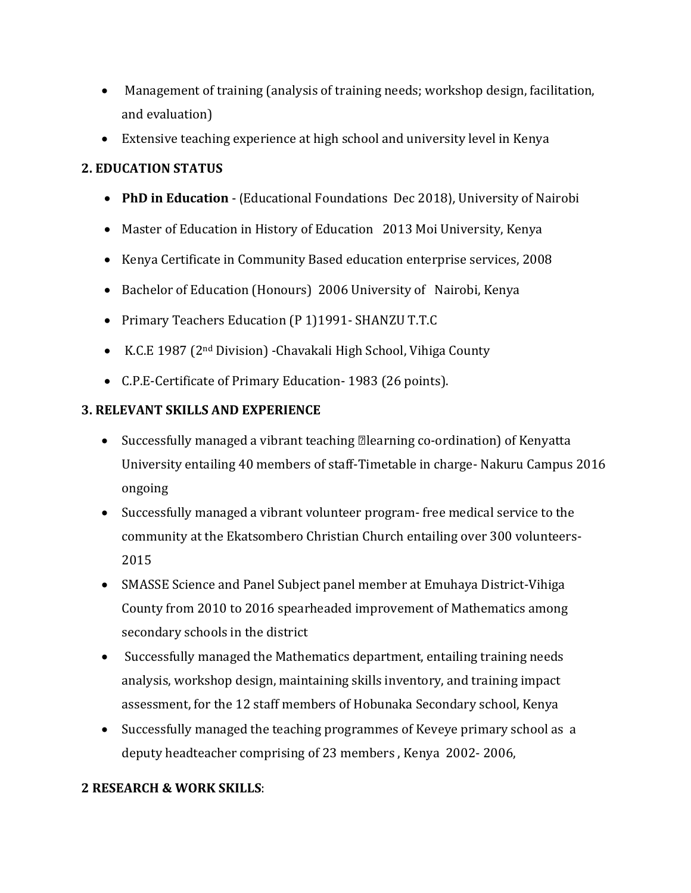- Management of training (analysis of training needs; workshop design, facilitation, and evaluation)
- Extensive teaching experience at high school and university level in Kenya

# **2. EDUCATION STATUS**

- **PhD in Education** (Educational Foundations Dec 2018), University of Nairobi
- Master of Education in History of Education 2013 Moi University, Kenya
- Kenya Certificate in Community Based education enterprise services, 2008
- Bachelor of Education (Honours) 2006 University of Nairobi, Kenya
- Primary Teachers Education (P 1)1991- SHANZU T.T.C
- K.C.E 1987 (2nd Division) -Chavakali High School, Vihiga County
- C.P.E-Certificate of Primary Education- 1983 (26 points).

# **3. RELEVANT SKILLS AND EXPERIENCE**

- Successfully managed a vibrant teaching learning co-ordination) of Kenyatta University entailing 40 members of staff-Timetable in charge- Nakuru Campus 2016 ongoing
- Successfully managed a vibrant volunteer program- free medical service to the community at the Ekatsombero Christian Church entailing over 300 volunteers-2015
- SMASSE Science and Panel Subject panel member at Emuhaya District-Vihiga County from 2010 to 2016 spearheaded improvement of Mathematics among secondary schools in the district
- Successfully managed the Mathematics department, entailing training needs analysis, workshop design, maintaining skills inventory, and training impact assessment, for the 12 staff members of Hobunaka Secondary school, Kenya
- Successfully managed the teaching programmes of Keveye primary school as a deputy headteacher comprising of 23 members , Kenya 2002- 2006,

# **2 RESEARCH & WORK SKILLS**: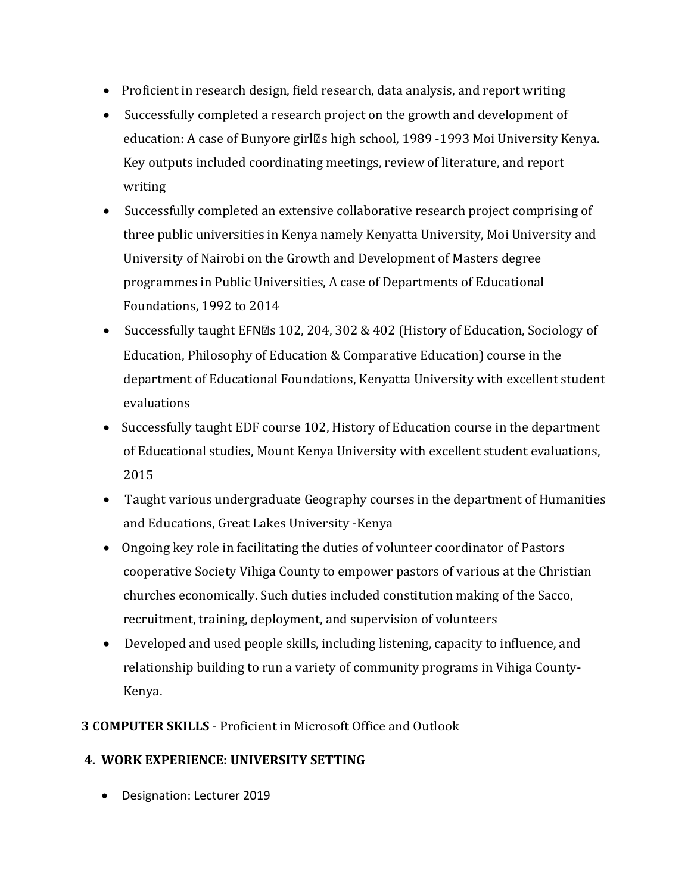- Proficient in research design, field research, data analysis, and report writing
- Successfully completed a research project on the growth and development of education: A case of Bunyore girl' s high school, 1989 -1993 Moi University Kenya. Key outputs included coordinating meetings, review of literature, and report writing
- Successfully completed an extensive collaborative research project comprising of three public universities in Kenya namely Kenyatta University, Moi University and University of Nairobi on the Growth and Development of Masters degree programmes in Public Universities, A case of Departments of Educational Foundations, 1992 to 2014
- Successfully taught EFN' s 102, 204, 302 & 402 (History of Education, Sociology of Education, Philosophy of Education & Comparative Education) course in the department of Educational Foundations, Kenyatta University with excellent student evaluations
- Successfully taught EDF course 102, History of Education course in the department of Educational studies, Mount Kenya University with excellent student evaluations, 2015
- Taught various undergraduate Geography courses in the department of Humanities and Educations, Great Lakes University -Kenya
- Ongoing key role in facilitating the duties of volunteer coordinator of Pastors cooperative Society Vihiga County to empower pastors of various at the Christian churches economically. Such duties included constitution making of the Sacco, recruitment, training, deployment, and supervision of volunteers
- Developed and used people skills, including listening, capacity to influence, and relationship building to run a variety of community programs in Vihiga County-Kenya.
- **3 COMPUTER SKILLS**  Proficient in Microsoft Office and Outlook

## **4. WORK EXPERIENCE: UNIVERSITY SETTING**

Designation: Lecturer 2019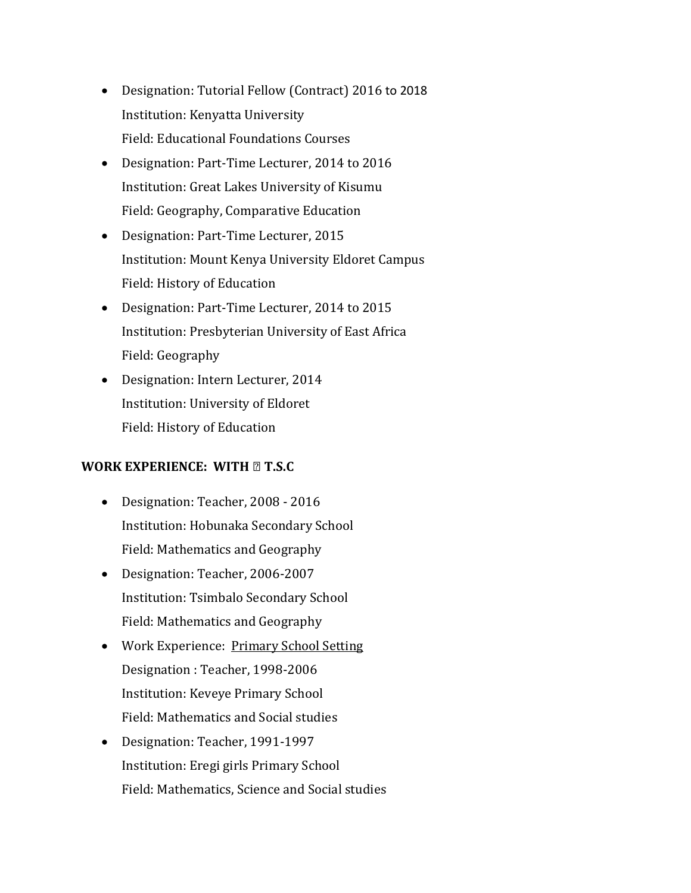- Designation: Tutorial Fellow (Contract) 2016 to 2018 Institution: Kenyatta University Field: Educational Foundations Courses
- Designation: Part-Time Lecturer, 2014 to 2016 Institution: Great Lakes University of Kisumu Field: Geography, Comparative Education
- Designation: Part-Time Lecturer, 2015 Institution: Mount Kenya University Eldoret Campus Field: History of Education
- Designation: Part-Time Lecturer, 2014 to 2015 Institution: Presbyterian University of East Africa Field: Geography
- Designation: Intern Lecturer, 2014 Institution: University of Eldoret Field: History of Education

## **WORK EXPERIENCE: WITH – T.S.C**

- Designation: Teacher, 2008 2016 Institution: Hobunaka Secondary School Field: Mathematics and Geography
- Designation: Teacher, 2006-2007 Institution: Tsimbalo Secondary School Field: Mathematics and Geography
- Work Experience: Primary School Setting Designation : Teacher, 1998-2006 Institution: Keveye Primary School Field: Mathematics and Social studies
- Designation: Teacher, 1991-1997 Institution: Eregi girls Primary School Field: Mathematics, Science and Social studies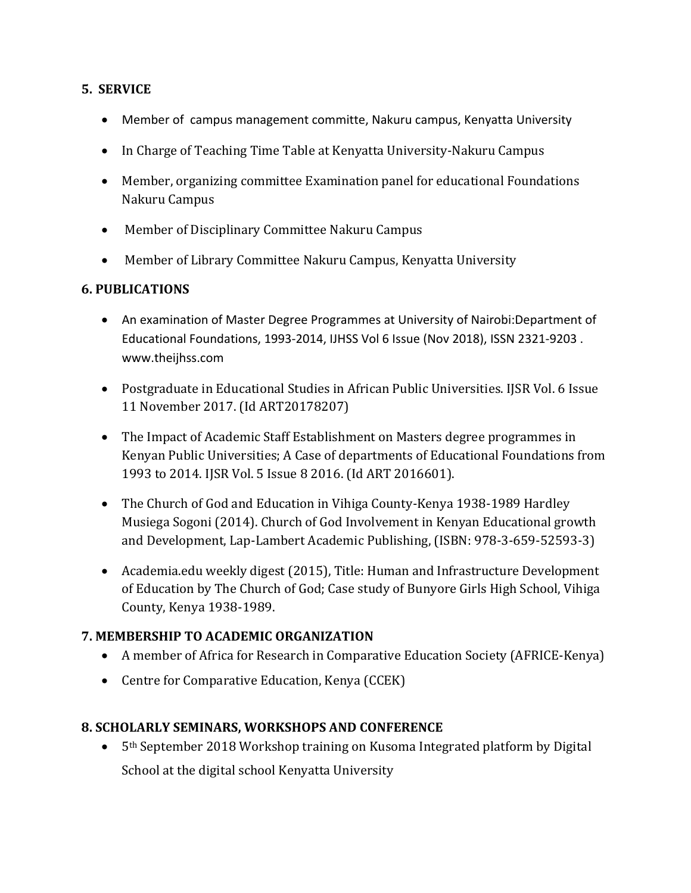#### **5. SERVICE**

- Member of campus management committe, Nakuru campus, Kenyatta University
- In Charge of Teaching Time Table at Kenyatta University-Nakuru Campus
- Member, organizing committee Examination panel for educational Foundations Nakuru Campus
- Member of Disciplinary Committee Nakuru Campus
- Member of Library Committee Nakuru Campus, Kenyatta University

## **6. PUBLICATIONS**

- An examination of Master Degree Programmes at University of Nairobi:Department of Educational Foundations, 1993-2014, IJHSS Vol 6 Issue (Nov 2018), ISSN 2321-9203 . www.theijhss.com
- Postgraduate in Educational Studies in African Public Universities. IJSR Vol. 6 Issue 11 November 2017. (Id ART20178207)
- The Impact of Academic Staff Establishment on Masters degree programmes in Kenyan Public Universities; A Case of departments of Educational Foundations from 1993 to 2014. IJSR Vol. 5 Issue 8 2016. (Id ART 2016601).
- The Church of God and Education in Vihiga County-Kenya 1938-1989 Hardley Musiega Sogoni (2014). Church of God Involvement in Kenyan Educational growth and Development, Lap-Lambert Academic Publishing, (ISBN: 978-3-659-52593-3)
- Academia.edu weekly digest (2015), Title: Human and Infrastructure Development of Education by The Church of God; Case study of Bunyore Girls High School, Vihiga County, Kenya 1938-1989.

## **7. MEMBERSHIP TO ACADEMIC ORGANIZATION**

- A member of Africa for Research in Comparative Education Society (AFRICE-Kenya)
- Centre for Comparative Education, Kenya (CCEK)

## **8. SCHOLARLY SEMINARS, WORKSHOPS AND CONFERENCE**

 5th September 2018 Workshop training on Kusoma Integrated platform by Digital School at the digital school Kenyatta University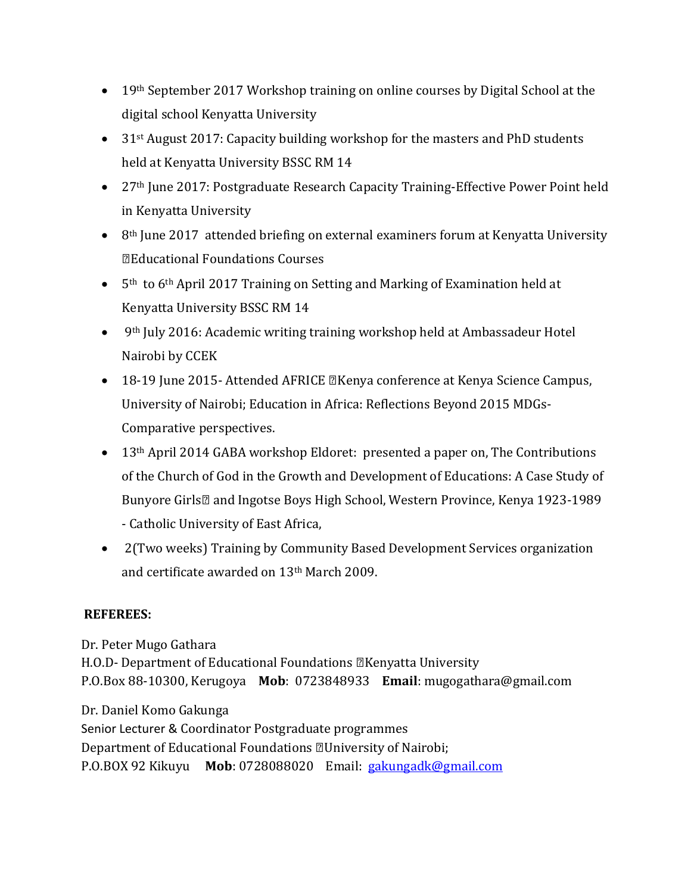- 19th September 2017 Workshop training on online courses by Digital School at the digital school Kenyatta University
- 31<sup>st</sup> August 2017: Capacity building workshop for the masters and PhD students held at Kenyatta University BSSC RM 14
- 27<sup>th</sup> June 2017: Postgraduate Research Capacity Training-Effective Power Point held in Kenyatta University
- 8<sup>th</sup> June 2017 attended briefing on external examiners forum at Kenyatta University – Educational Foundations Courses
- 5<sup>th</sup> to 6<sup>th</sup> April 2017 Training on Setting and Marking of Examination held at Kenyatta University BSSC RM 14
- 9th July 2016: Academic writing training workshop held at Ambassadeur Hotel Nairobi by CCEK
- 18-19 June 2015- Attended AFRICE Kenya conference at Kenya Science Campus, University of Nairobi; Education in Africa: Reflections Beyond 2015 MDGs-Comparative perspectives.
- 13<sup>th</sup> April 2014 GABA workshop Eldoret: presented a paper on, The Contributions of the Church of God in the Growth and Development of Educations: A Case Study of Bunyore Girls' and Ingotse Boys High School, Western Province, Kenya 1923-1989 - Catholic University of East Africa,
- 2(Two weeks) Training by Community Based Development Services organization and certificate awarded on 13th March 2009.

## **REFEREES:**

Dr. Peter Mugo Gathara H.O.D- Department of Educational Foundations – Kenyatta University P.O.Box 88-10300, Kerugoya **Mob**: 0723848933 **Email**: mugogathara@gmail.com

Dr. Daniel Komo Gakunga Senior Lecturer & Coordinator Postgraduate programmes Department of Educational Foundations – University of Nairobi; P.O.BOX 92 Kikuyu **Mob**: 0728088020 Email: [gakungadk@gmail.com](mailto:gakungadk@gmail.com)